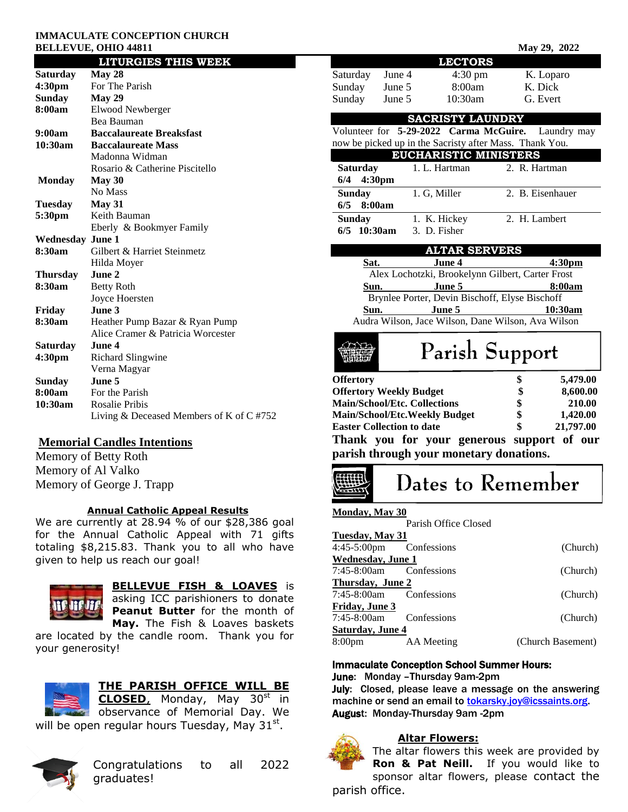#### **IMMACULATE CONCEPTION CHURCH BELLEVUE, OHIO 44811** May 29, 2022

|                         | <b>LITURGIES THIS WEEK</b>                 |  |  |  |
|-------------------------|--------------------------------------------|--|--|--|
| Saturday                | May 28                                     |  |  |  |
| 4:30 <sub>pm</sub>      | For The Parish                             |  |  |  |
| <b>Sunday</b>           | Mav 29                                     |  |  |  |
| 8:00am                  | Elwood Newberger                           |  |  |  |
|                         | Bea Bauman                                 |  |  |  |
| 9:00am                  | <b>Baccalaureate Breaksfast</b>            |  |  |  |
| 10:30am                 | <b>Baccalaureate Mass</b>                  |  |  |  |
|                         | Madonna Widman                             |  |  |  |
|                         | Rosario & Catherine Piscitello             |  |  |  |
| <b>Monday</b>           | May 30                                     |  |  |  |
|                         | No Mass                                    |  |  |  |
| <b>Tuesday</b>          | May 31                                     |  |  |  |
| 5:30pm                  | Keith Bauman                               |  |  |  |
|                         | Eberly & Bookmyer Family                   |  |  |  |
| <b>Wednesday June 1</b> |                                            |  |  |  |
| 8:30am                  | Gilbert & Harriet Steinmetz                |  |  |  |
|                         | Hilda Moyer                                |  |  |  |
| <b>Thursday</b>         | June 2                                     |  |  |  |
| 8:30am                  | <b>Betty Roth</b>                          |  |  |  |
|                         | Joyce Hoersten                             |  |  |  |
| Friday                  | June 3                                     |  |  |  |
| 8:30am                  | Heather Pump Bazar & Ryan Pump             |  |  |  |
|                         | Alice Cramer & Patricia Worcester          |  |  |  |
| Saturday                | June 4                                     |  |  |  |
| 4:30 <sub>pm</sub>      | Richard Slingwine                          |  |  |  |
|                         | Verna Magyar                               |  |  |  |
| <b>Sunday</b><br>8:00am | June 5                                     |  |  |  |
| 10:30am                 | For the Parish<br><b>Rosalie Pribis</b>    |  |  |  |
|                         |                                            |  |  |  |
|                         | Living $&$ Deceased Members of K of C #752 |  |  |  |

## **Memorial Candles Intentions**

Memory of Betty Roth Memory of Al Valko Memory of George J. Trapp

### **Annual Catholic Appeal Results**

We are currently at 28.94 % of our \$28,386 goal for the Annual Catholic Appeal with 71 gifts totaling \$8,215.83. Thank you to all who have given to help us reach our goal!



# **BELLEVUE FISH & LOAVES** is

asking ICC parishioners to donate **Peanut Butter** for the month of **May.** The Fish & Loaves baskets

are located by the candle room. Thank you for your generosity!



## **THE PARISH OFFICE WILL BE**

**CLOSED**, Monday, May 30st in **observance of Memorial Day. We** will be open regular hours Tuesday, May  $31^{st}$ .



# Congratulations to all 2022 graduates!

|                                                     |                                      | <b>LECTORS</b>                                                              |                             |                    |  |  |
|-----------------------------------------------------|--------------------------------------|-----------------------------------------------------------------------------|-----------------------------|--------------------|--|--|
| Saturday                                            | June 4                               | $4:30 \text{ pm}$                                                           |                             | K. Loparo          |  |  |
| Sunday                                              | June 5                               | 8:00am                                                                      | K. Dick                     |                    |  |  |
| Sunday                                              | June 5                               | 10:30am                                                                     | G. Evert                    |                    |  |  |
|                                                     |                                      | <b>SACRISTY LAUNDRY</b>                                                     |                             |                    |  |  |
|                                                     |                                      | Volunteer for 5-29-2022 Carma McGuire.                                      |                             | Laundry may        |  |  |
|                                                     |                                      | now be picked up in the Sacristy after Mass. Thank You.                     |                             |                    |  |  |
|                                                     |                                      | <b>EUCHARISTIC MINISTERS</b>                                                |                             |                    |  |  |
| <b>Saturday</b>                                     |                                      | 1. L. Hartman                                                               | 2. R. Hartman               |                    |  |  |
| 6/4                                                 | 4:30pm                               |                                                                             |                             |                    |  |  |
| <b>Sunday</b>                                       |                                      | 1. G, Miller                                                                | 2. B. Eisenhauer            |                    |  |  |
| 6/5                                                 | 8:00am                               |                                                                             |                             |                    |  |  |
| <b>Sunday</b>                                       |                                      | 1. K. Hickey                                                                | $\overline{2}$ . H. Lambert |                    |  |  |
| 6/5 10:30am                                         |                                      | 3. D. Fisher                                                                |                             |                    |  |  |
|                                                     |                                      | <b>ALTAR SERVERS</b>                                                        |                             |                    |  |  |
| Sat.                                                |                                      | June 4                                                                      |                             | 4:30 <sub>pm</sub> |  |  |
|                                                     |                                      | at. June 4 4:30p<br>Alex Lochotzki, Brookelynn Gilbert, Carter Frost        |                             |                    |  |  |
| Sun.                                                |                                      | June 5                                                                      |                             | 8:00am             |  |  |
|                                                     |                                      | Brynlee Porter, Devin Bischoff, Elyse Bischoff                              |                             |                    |  |  |
| Sun.                                                |                                      | <b>June 5</b> 10:30am<br>Audra Wilson, Jace Wilson, Dane Wilson, Ava Wilson |                             |                    |  |  |
|                                                     |                                      |                                                                             |                             |                    |  |  |
| Parish Support                                      |                                      |                                                                             |                             |                    |  |  |
| <b>Offertory</b>                                    |                                      |                                                                             |                             | 5,479.00           |  |  |
|                                                     | <b>Offertory Weekly Budget</b>       |                                                                             | \$<br>\$                    | 8,600.00           |  |  |
|                                                     | <b>Main/School/Etc. Collections</b>  |                                                                             | \$<br>\$                    | 210.00             |  |  |
|                                                     | <b>Main/School/Etc.Weekly Budget</b> |                                                                             |                             | 1,420.00           |  |  |
| \$<br><b>Easter Collection to date</b><br>21,797.00 |                                      |                                                                             |                             |                    |  |  |
|                                                     |                                      |                                                                             |                             |                    |  |  |
|                                                     |                                      | Thank you for your generous support of our                                  |                             |                    |  |  |
|                                                     |                                      | parish through your monetary donations.                                     |                             |                    |  |  |
|                                                     |                                      | Dates to Remember                                                           |                             |                    |  |  |
| Mondav. Mav 30                                      |                                      |                                                                             |                             |                    |  |  |
|                                                     |                                      | Parish Office Closed                                                        |                             |                    |  |  |
| <b>Tuesday, May 31</b>                              |                                      |                                                                             |                             |                    |  |  |
| 4:45-5:00pm                                         | Confessions                          |                                                                             |                             | (Church)           |  |  |
| <b>Wednesday</b> , June 1                           |                                      |                                                                             |                             |                    |  |  |
| 7:45-8:00am                                         |                                      | Confessions                                                                 |                             | (Church)           |  |  |
| Thursday, June 2                                    |                                      |                                                                             |                             |                    |  |  |
| 7:45-8:00am                                         |                                      | Confessions                                                                 |                             | (Church)           |  |  |
| Friday, June 3<br>7:45-8:00am                       |                                      | Confessions                                                                 |                             | (Church)           |  |  |

8:00pm AA Meeting (Church Basement)

### Immaculate Conception School Summer Hours:

June: Monday –Thursday 9am-2pm

July: Closed, please leave a message on the answering machine or send an email to [tokarsky.joy@icssaints.org.](mailto:tokarsky.joy@icssaints.org) August: Monday-Thursday 9am -2pm

## **Altar Flowers:**



The altar flowers this week are provided by **Ron & Pat Neill.** If you would like to sponsor altar flowers, please contact the parish office.